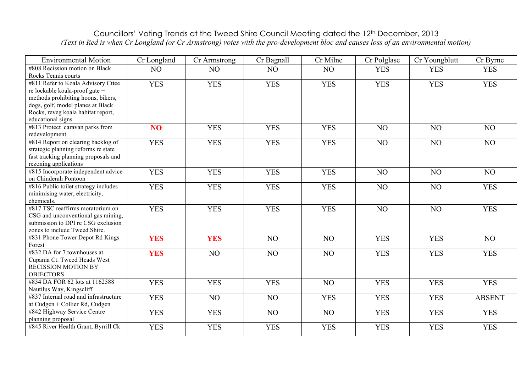## Councillors' Voting Trends at the Tweed Shire Council Meeting dated the 12th December, 2013 *(Text in Red is when Cr Longland (or Cr Armstrong) votes with the pro-development bloc and causes loss of an environmental motion)*

| <b>Environmental Motion</b>                                                                                                                                                                                 | Cr Longland     | Cr Armstrong    | Cr Bagnall | Cr Milne       | Cr Polglase    | Cr Youngblutt | Cr Byrne      |
|-------------------------------------------------------------------------------------------------------------------------------------------------------------------------------------------------------------|-----------------|-----------------|------------|----------------|----------------|---------------|---------------|
| #808 Recission motion on Black<br>Rocks Tennis courts                                                                                                                                                       | NO              | NO              | NO         | N <sub>O</sub> | <b>YES</b>     | <b>YES</b>    | <b>YES</b>    |
| #811 Refer to Koala Advisory Cttee<br>re lockable koala-proof gate +<br>methods prohibiting hoons, bikers,<br>dogs, golf, model planes at Black<br>Rocks, reveg koala habitat report,<br>educational signs. | <b>YES</b>      | <b>YES</b>      | <b>YES</b> | <b>YES</b>     | <b>YES</b>     | <b>YES</b>    | <b>YES</b>    |
| #813 Protect caravan parks from<br>redevelopment                                                                                                                                                            | NO <sub>1</sub> | <b>YES</b>      | <b>YES</b> | <b>YES</b>     | N <sub>O</sub> | NO            | NO            |
| #814 Report on clearing backlog of<br>strategic planning reforms re state<br>fast tracking planning proposals and<br>rezoning applications                                                                  | <b>YES</b>      | <b>YES</b>      | <b>YES</b> | <b>YES</b>     | NO             | NO            | NO            |
| #815 Incorporate independent advice<br>on Chinderah Pontoon                                                                                                                                                 | <b>YES</b>      | <b>YES</b>      | <b>YES</b> | <b>YES</b>     | NO             | NO            | NO            |
| #816 Public toilet strategy includes<br>minimising water, electricity,<br>chemicals.                                                                                                                        | <b>YES</b>      | <b>YES</b>      | <b>YES</b> | <b>YES</b>     | NO             | NO            | <b>YES</b>    |
| #817 TSC reaffirms moratorium on<br>CSG and unconventional gas mining,<br>submission to DPI re CSG exclusion<br>zones to include Tweed Shire.                                                               | <b>YES</b>      | <b>YES</b>      | <b>YES</b> | <b>YES</b>     | NO             | NO            | <b>YES</b>    |
| #831 Phone Tower Depot Rd Kings<br>Forest                                                                                                                                                                   | <b>YES</b>      | <b>YES</b>      | NO         | NO             | <b>YES</b>     | <b>YES</b>    | NO            |
| #832 DA for 7 townhouses at<br>Cupania Ct. Tweed Heads West<br><b>RECISSION MOTION BY</b><br><b>OBJECTORS</b>                                                                                               | <b>YES</b>      | NO <sub>1</sub> | NO         | NO             | <b>YES</b>     | <b>YES</b>    | <b>YES</b>    |
| #834 DA FOR 62 lots at 1162588<br>Nautilus Way, Kingscliff                                                                                                                                                  | <b>YES</b>      | <b>YES</b>      | <b>YES</b> | N <sub>O</sub> | <b>YES</b>     | <b>YES</b>    | <b>YES</b>    |
| #837 Internal road and infrastructure<br>at Cudgen + Collier Rd, Cudgen                                                                                                                                     | <b>YES</b>      | NO              | NO         | <b>YES</b>     | <b>YES</b>     | <b>YES</b>    | <b>ABSENT</b> |
| #842 Highway Service Centre<br>planning proposal                                                                                                                                                            | <b>YES</b>      | <b>YES</b>      | NO         | N <sub>O</sub> | <b>YES</b>     | <b>YES</b>    | <b>YES</b>    |
| #845 River Health Grant, Byrrill Ck                                                                                                                                                                         | <b>YES</b>      | <b>YES</b>      | <b>YES</b> | <b>YES</b>     | <b>YES</b>     | <b>YES</b>    | <b>YES</b>    |